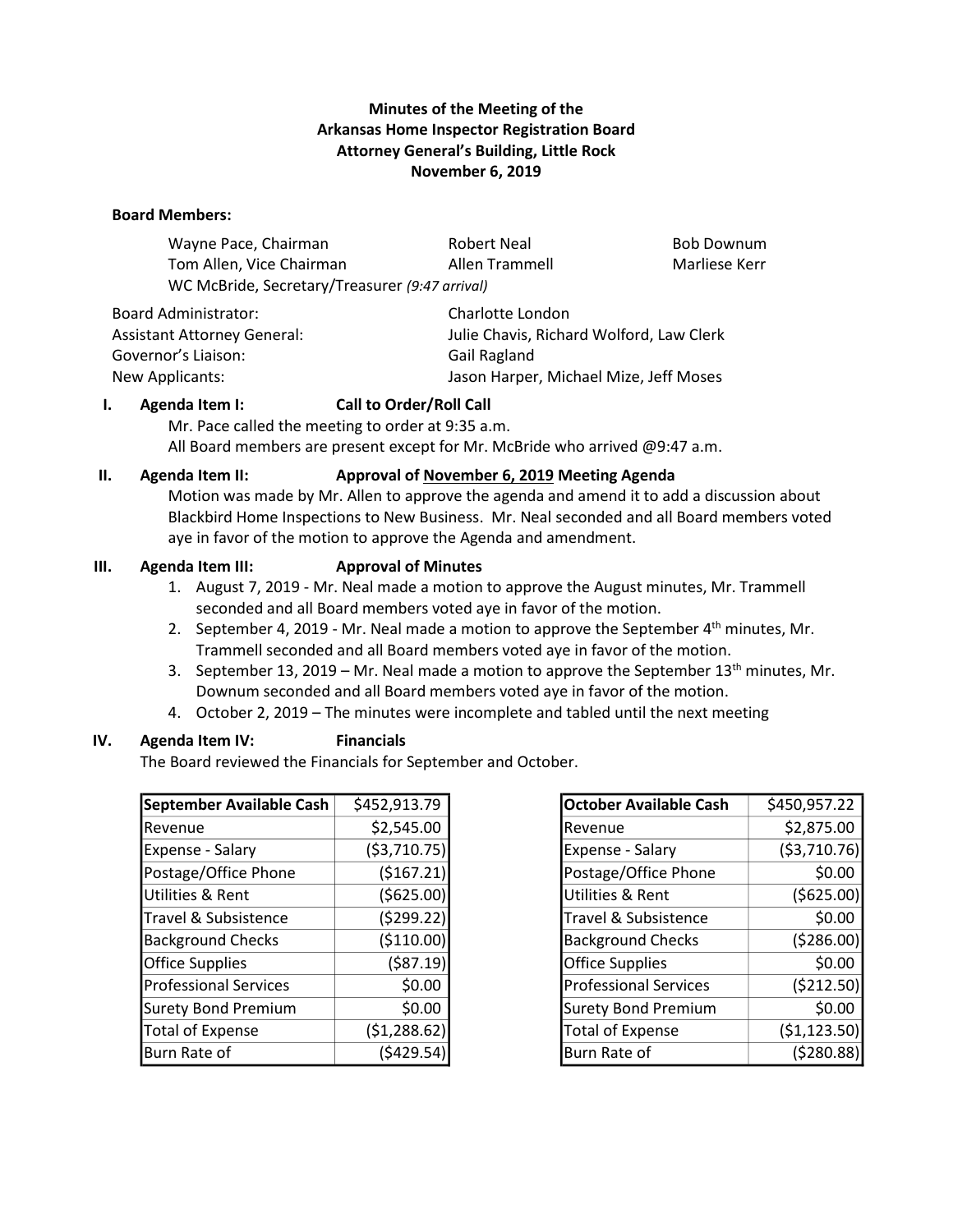# **Minutes of the Meeting of the Arkansas Home Inspector Registration Board Attorney General's Building, Little Rock November 6, 2019**

### **Board Members:**

Wayne Pace, Chairman **Robert Neal Bob Downum** Robert Neal Bob Downum Tom Allen, Vice Chairman Allen Trammell Marliese Kerr WC McBride, Secretary/Treasurer *(9:47 arrival)*

Board Administrator: Charlotte London Governor's Liaison: Gail Ragland

Assistant Attorney General: Julie Chavis, Richard Wolford, Law Clerk

New Applicants: Jason Harper, Michael Mize, Jeff Moses

## **I. Agenda Item I: Call to Order/Roll Call**

Mr. Pace called the meeting to order at 9:35 a.m. All Board members are present except for Mr. McBride who arrived @9:47 a.m.

## **II. Agenda Item II: Approval of November 6, 2019 Meeting Agenda**

Motion was made by Mr. Allen to approve the agenda and amend it to add a discussion about Blackbird Home Inspections to New Business. Mr. Neal seconded and all Board members voted aye in favor of the motion to approve the Agenda and amendment.

### **III. Agenda Item III: Approval of Minutes**

- 1. August 7, 2019 Mr. Neal made a motion to approve the August minutes, Mr. Trammell seconded and all Board members voted aye in favor of the motion.
- 2. September 4, 2019 Mr. Neal made a motion to approve the September  $4<sup>th</sup>$  minutes, Mr. Trammell seconded and all Board members voted aye in favor of the motion.
- 3. September 13, 2019 Mr. Neal made a motion to approve the September 13<sup>th</sup> minutes, Mr. Downum seconded and all Board members voted aye in favor of the motion.
- 4. October 2, 2019 The minutes were incomplete and tabled until the next meeting

# **IV. Agenda Item IV: Financials**

The Board reviewed the Financials for September and October.

| <b>September Available Cash</b> | \$452,913.79  |
|---------------------------------|---------------|
| Revenue                         | \$2,545.00    |
| Expense - Salary                | ( \$3,710.75) |
| Postage/Office Phone            | (\$167.21)    |
| <b>Utilities &amp; Rent</b>     | (\$625.00)    |
| Travel & Subsistence            | (5299.22)     |
| <b>Background Checks</b>        | (\$110.00)    |
| <b>Office Supplies</b>          | ( \$87.19)    |
| <b>Professional Services</b>    | \$0.00        |
| <b>Surety Bond Premium</b>      | \$0.00        |
| <b>Total of Expense</b>         | (\$1,288.62)  |
| Burn Rate of                    | (\$429.54     |

| <b>October Available Cash</b> | \$450,957.22  |
|-------------------------------|---------------|
| Revenue                       | \$2,875.00    |
| Expense - Salary              | ( \$3,710.76) |
| Postage/Office Phone          | \$0.00        |
| <b>Utilities &amp; Rent</b>   | ( \$625.00)   |
| Travel & Subsistence          | \$0.00        |
| <b>Background Checks</b>      | (5286.00)     |
| <b>Office Supplies</b>        | \$0.00        |
| <b>Professional Services</b>  | ( \$212.50)   |
| <b>Surety Bond Premium</b>    | \$0.00        |
| <b>Total of Expense</b>       | ( \$1,123.50) |
| Burn Rate of                  | (\$280.88     |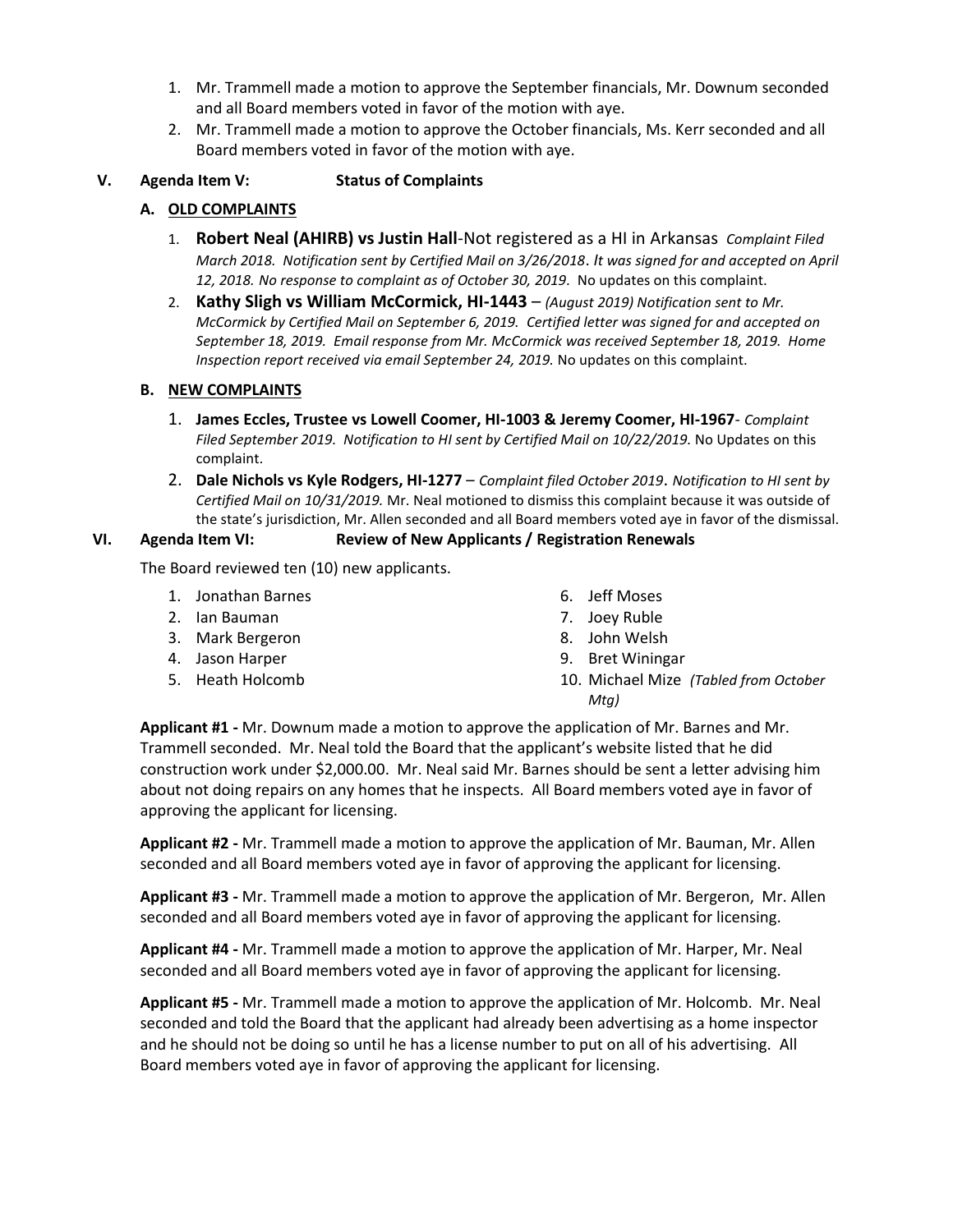- 1. Mr. Trammell made a motion to approve the September financials, Mr. Downum seconded and all Board members voted in favor of the motion with aye.
- 2. Mr. Trammell made a motion to approve the October financials, Ms. Kerr seconded and all Board members voted in favor of the motion with aye.

## **V. Agenda Item V: Status of Complaints**

## **A. OLD COMPLAINTS**

- 1. **Robert Neal (AHIRB) vs Justin Hall**-Not registered as a HI in Arkansas *Complaint Filed March 2018. Notification sent by Certified Mail on 3/26/2018*. *It was signed for and accepted on April 12, 2018. No response to complaint as of October 30, 2019*. No updates on this complaint.
- 2. **Kathy Sligh vs William McCormick, HI-1443** *(August 2019) Notification sent to Mr. McCormick by Certified Mail on September 6, 2019. Certified letter was signed for and accepted on September 18, 2019. Email response from Mr. McCormick was received September 18, 2019. Home Inspection report received via email September 24, 2019.* No updates on this complaint.

## **B. NEW COMPLAINTS**

- 1. **James Eccles, Trustee vs Lowell Coomer, HI-1003 & Jeremy Coomer, HI-1967** *Complaint Filed September 2019. Notification to HI sent by Certified Mail on 10/22/2019.* No Updates on this complaint.
- 2. **Dale Nichols vs Kyle Rodgers, HI-1277** *Complaint filed October 2019*. *Notification to HI sent by Certified Mail on 10/31/2019.* Mr. Neal motioned to dismiss this complaint because it was outside of the state's jurisdiction, Mr. Allen seconded and all Board members voted aye in favor of the dismissal.

#### **VI. Agenda Item VI: Review of New Applicants / Registration Renewals**

The Board reviewed ten (10) new applicants.

- 1. Jonathan Barnes
- 2. Ian Bauman
- 3. Mark Bergeron
- 4. Jason Harper
- 5. Heath Holcomb
- 6. Jeff Moses
- 7. Joey Ruble
- 8. John Welsh
- 9. Bret Winingar
- 10. Michael Mize *(Tabled from October Mtg)*

**Applicant #1 -** Mr. Downum made a motion to approve the application of Mr. Barnes and Mr. Trammell seconded. Mr. Neal told the Board that the applicant's website listed that he did construction work under \$2,000.00. Mr. Neal said Mr. Barnes should be sent a letter advising him about not doing repairs on any homes that he inspects. All Board members voted aye in favor of approving the applicant for licensing.

**Applicant #2 -** Mr. Trammell made a motion to approve the application of Mr. Bauman, Mr. Allen seconded and all Board members voted aye in favor of approving the applicant for licensing.

**Applicant #3 -** Mr. Trammell made a motion to approve the application of Mr. Bergeron, Mr. Allen seconded and all Board members voted aye in favor of approving the applicant for licensing.

**Applicant #4 -** Mr. Trammell made a motion to approve the application of Mr. Harper, Mr. Neal seconded and all Board members voted aye in favor of approving the applicant for licensing.

**Applicant #5 -** Mr. Trammell made a motion to approve the application of Mr. Holcomb. Mr. Neal seconded and told the Board that the applicant had already been advertising as a home inspector and he should not be doing so until he has a license number to put on all of his advertising. All Board members voted aye in favor of approving the applicant for licensing.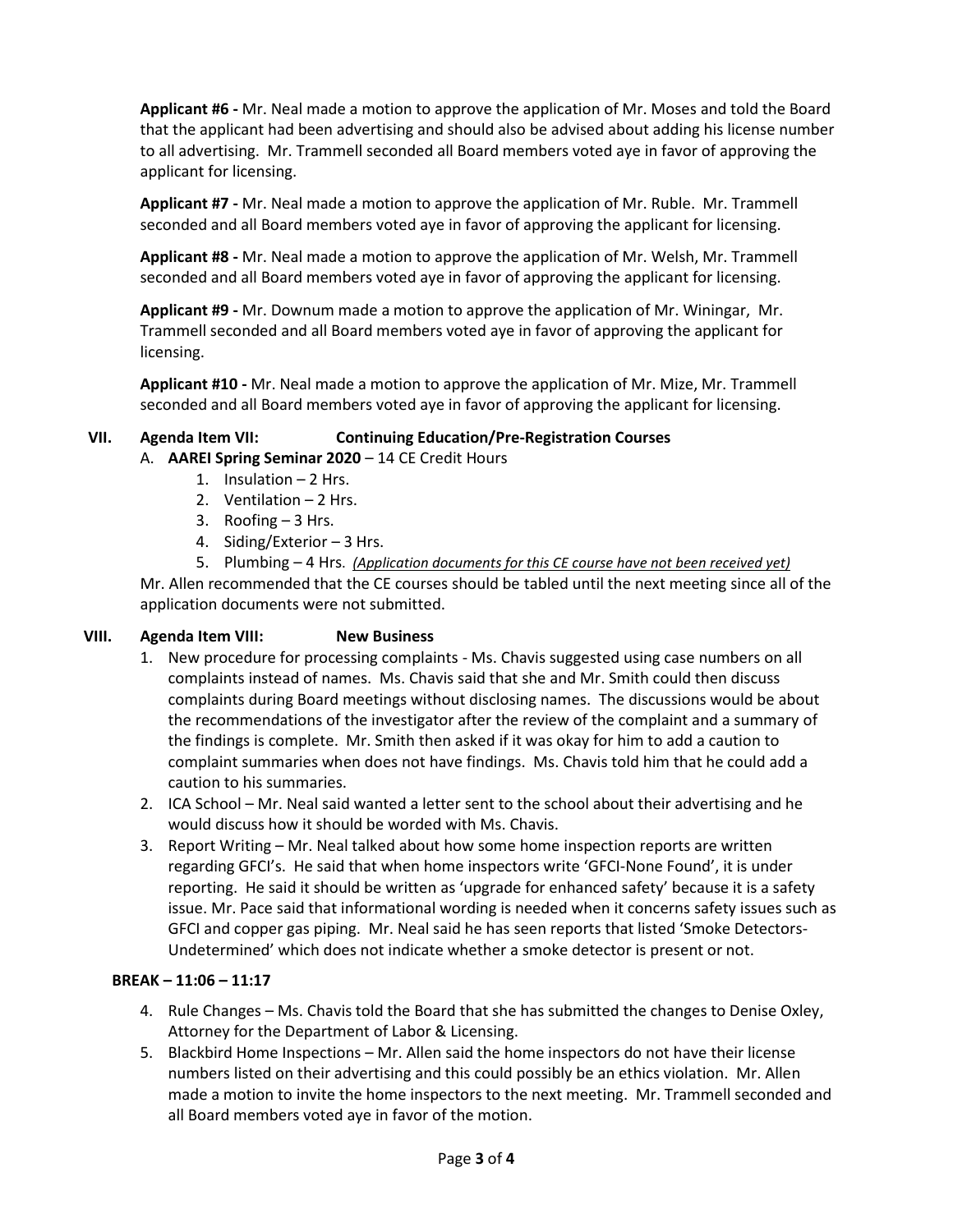**Applicant #6 -** Mr. Neal made a motion to approve the application of Mr. Moses and told the Board that the applicant had been advertising and should also be advised about adding his license number to all advertising. Mr. Trammell seconded all Board members voted aye in favor of approving the applicant for licensing.

**Applicant #7 -** Mr. Neal made a motion to approve the application of Mr. Ruble. Mr. Trammell seconded and all Board members voted aye in favor of approving the applicant for licensing.

**Applicant #8 -** Mr. Neal made a motion to approve the application of Mr. Welsh, Mr. Trammell seconded and all Board members voted aye in favor of approving the applicant for licensing.

**Applicant #9 -** Mr. Downum made a motion to approve the application of Mr. Winingar, Mr. Trammell seconded and all Board members voted aye in favor of approving the applicant for licensing.

**Applicant #10 -** Mr. Neal made a motion to approve the application of Mr. Mize, Mr. Trammell seconded and all Board members voted aye in favor of approving the applicant for licensing.

## **VII. Agenda Item VII: Continuing Education/Pre-Registration Courses**

A. **AAREI Spring Seminar 2020** – 14 CE Credit Hours

- 1. Insulation 2 Hrs.
- 2. Ventilation 2 Hrs.
- 3. Roofing 3 Hrs.
- 4. Siding/Exterior 3 Hrs.
- 5. Plumbing 4 Hrs. *(Application documents for this CE course have not been received yet)*

Mr. Allen recommended that the CE courses should be tabled until the next meeting since all of the application documents were not submitted.

## **VIII. Agenda Item VIII: New Business**

- 1. New procedure for processing complaints Ms. Chavis suggested using case numbers on all complaints instead of names. Ms. Chavis said that she and Mr. Smith could then discuss complaints during Board meetings without disclosing names. The discussions would be about the recommendations of the investigator after the review of the complaint and a summary of the findings is complete. Mr. Smith then asked if it was okay for him to add a caution to complaint summaries when does not have findings. Ms. Chavis told him that he could add a caution to his summaries.
- 2. ICA School Mr. Neal said wanted a letter sent to the school about their advertising and he would discuss how it should be worded with Ms. Chavis.
- 3. Report Writing Mr. Neal talked about how some home inspection reports are written regarding GFCI's. He said that when home inspectors write 'GFCI-None Found', it is under reporting. He said it should be written as 'upgrade for enhanced safety' because it is a safety issue. Mr. Pace said that informational wording is needed when it concerns safety issues such as GFCI and copper gas piping. Mr. Neal said he has seen reports that listed 'Smoke Detectors-Undetermined' which does not indicate whether a smoke detector is present or not.

## **BREAK – 11:06 – 11:17**

- 4. Rule Changes Ms. Chavis told the Board that she has submitted the changes to Denise Oxley, Attorney for the Department of Labor & Licensing.
- 5. Blackbird Home Inspections Mr. Allen said the home inspectors do not have their license numbers listed on their advertising and this could possibly be an ethics violation. Mr. Allen made a motion to invite the home inspectors to the next meeting. Mr. Trammell seconded and all Board members voted aye in favor of the motion.